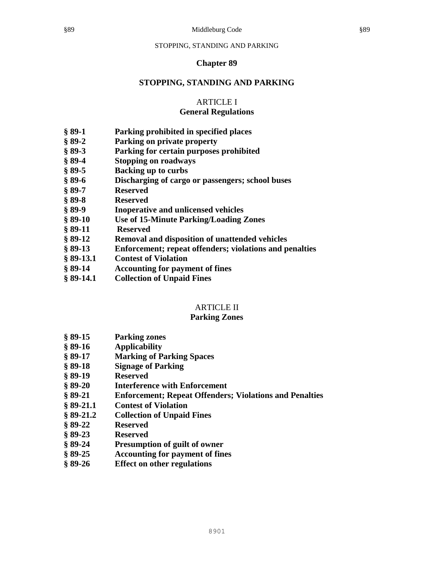### **Chapter 89**

### **STOPPING, STANDING AND PARKING**

# ARTICLE I

### **General Regulations**

- **§ 89-1 Parking prohibited in specified places**
- **§ 89-2 Parking on private property**
- **§ 89-3 Parking for certain purposes prohibited**
- **§ 89-4 Stopping on roadways**
- **§ 89-5 Backing up to curbs**
- **§ 89-6 Discharging of cargo or passengers; school buses**
- **§ 89-7 Reserved**
- **§ 89-8 Reserved**
- **§ 89-9 Inoperative and unlicensed vehicles**
- **§ 89-10 Use of 15-Minute Parking/Loading Zones**
- **§ 89-11 Reserved**
- **§ 89-12 Removal and disposition of unattended vehicles**
- **§ 89-13 Enforcement; repeat offenders; violations and penalties**
- **§ 89-13.1 Contest of Violation**
- **§ 89-14 Accounting for payment of fines**
- **§ 89-14.1 Collection of Unpaid Fines**

# ARTICLE II

### **Parking Zones**

- **§ 89-15 Parking zones**
- **§ 89-16 Applicability**
- **§ 89-17 Marking of Parking Spaces**
- **§ 89-18 Signage of Parking**
- **§ 89-19 Reserved**
- **§ 89-20 Interference with Enforcement**
- **§ 89-21 Enforcement; Repeat Offenders; Violations and Penalties**
- **§ 89-21.1 Contest of Violation**
- **§ 89-21.2 Collection of Unpaid Fines**
- **§ 89-22 Reserved**
- **§ 89-23 Reserved**
- **§ 89-24 Presumption of guilt of owner**
- **§ 89-25 Accounting for payment of fines**
- **§ 89-26 Effect on other regulations**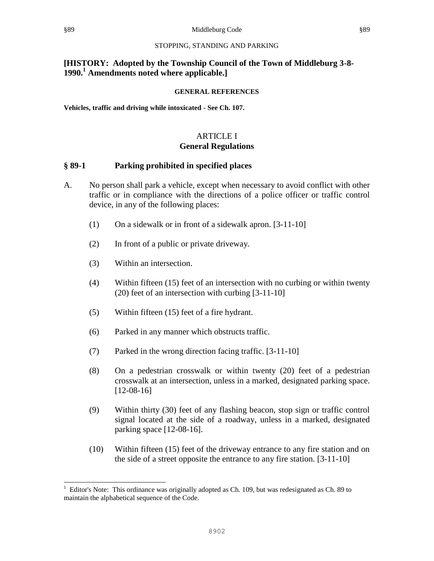# **[HISTORY: Adopted by the Township Council of the Town of Middleburg 3-8- 1990.<sup>1</sup> Amendments noted where applicable.]**

#### **GENERAL REFERENCES**

**Vehicles, traffic and driving while intoxicated - See Ch. 107.**

### ARTICLE I **General Regulations**

#### **§ 89-1 Parking prohibited in specified places**

- A. No person shall park a vehicle, except when necessary to avoid conflict with other traffic or in compliance with the directions of a police officer or traffic control device, in any of the following places:
	- (1) On a sidewalk or in front of a sidewalk apron. [3-11-10]
	- (2) In front of a public or private driveway.
	- (3) Within an intersection.
	- (4) Within fifteen (15) feet of an intersection with no curbing or within twenty (20) feet of an intersection with curbing [3-11-10]
	- (5) Within fifteen (15) feet of a fire hydrant.
	- (6) Parked in any manner which obstructs traffic.
	- (7) Parked in the wrong direction facing traffic. [3-11-10]
	- (8) On a pedestrian crosswalk or within twenty (20) feet of a pedestrian crosswalk at an intersection, unless in a marked, designated parking space. [12-08-16]
	- (9) Within thirty (30) feet of any flashing beacon, stop sign or traffic control signal located at the side of a roadway, unless in a marked, designated parking space [12-08-16].
	- (10) Within fifteen (15) feet of the driveway entrance to any fire station and on the side of a street opposite the entrance to any fire station. [3-11-10]

l

<sup>1</sup> Editor's Note: This ordinance was originally adopted as Ch. 109, but was redesignated as Ch. 89 to maintain the alphabetical sequence of the Code.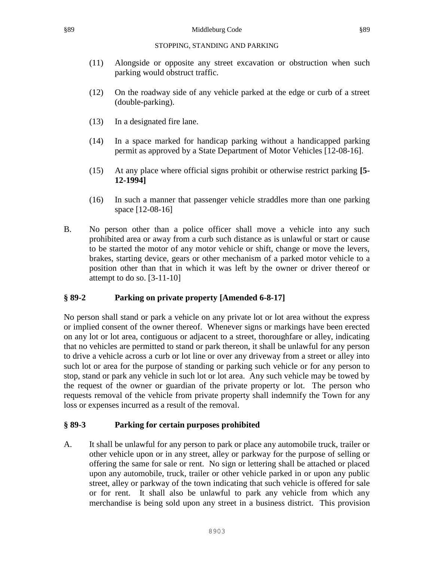- (11) Alongside or opposite any street excavation or obstruction when such parking would obstruct traffic.
- (12) On the roadway side of any vehicle parked at the edge or curb of a street (double-parking).
- (13) In a designated fire lane.
- (14) In a space marked for handicap parking without a handicapped parking permit as approved by a State Department of Motor Vehicles [12-08-16].
- (15) At any place where official signs prohibit or otherwise restrict parking **[5- 12-1994]**
- (16) In such a manner that passenger vehicle straddles more than one parking space [12-08-16]
- B. No person other than a police officer shall move a vehicle into any such prohibited area or away from a curb such distance as is unlawful or start or cause to be started the motor of any motor vehicle or shift, change or move the levers, brakes, starting device, gears or other mechanism of a parked motor vehicle to a position other than that in which it was left by the owner or driver thereof or attempt to do so. [3-11-10]

# **§ 89-2 Parking on private property [Amended 6-8-17]**

No person shall stand or park a vehicle on any private lot or lot area without the express or implied consent of the owner thereof. Whenever signs or markings have been erected on any lot or lot area, contiguous or adjacent to a street, thoroughfare or alley, indicating that no vehicles are permitted to stand or park thereon, it shall be unlawful for any person to drive a vehicle across a curb or lot line or over any driveway from a street or alley into such lot or area for the purpose of standing or parking such vehicle or for any person to stop, stand or park any vehicle in such lot or lot area. Any such vehicle may be towed by the request of the owner or guardian of the private property or lot. The person who requests removal of the vehicle from private property shall indemnify the Town for any loss or expenses incurred as a result of the removal.

# **§ 89-3 Parking for certain purposes prohibited**

A. It shall be unlawful for any person to park or place any automobile truck, trailer or other vehicle upon or in any street, alley or parkway for the purpose of selling or offering the same for sale or rent. No sign or lettering shall be attached or placed upon any automobile, truck, trailer or other vehicle parked in or upon any public street, alley or parkway of the town indicating that such vehicle is offered for sale or for rent. It shall also be unlawful to park any vehicle from which any merchandise is being sold upon any street in a business district. This provision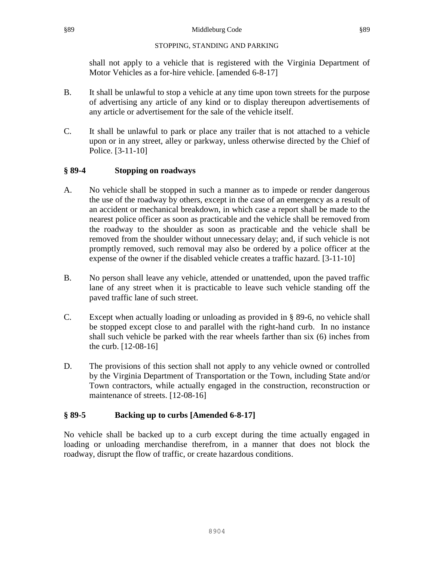shall not apply to a vehicle that is registered with the Virginia Department of Motor Vehicles as a for-hire vehicle. [amended 6-8-17]

- B. It shall be unlawful to stop a vehicle at any time upon town streets for the purpose of advertising any article of any kind or to display thereupon advertisements of any article or advertisement for the sale of the vehicle itself.
- C. It shall be unlawful to park or place any trailer that is not attached to a vehicle upon or in any street, alley or parkway, unless otherwise directed by the Chief of Police. [3-11-10]

# **§ 89-4 Stopping on roadways**

- A. No vehicle shall be stopped in such a manner as to impede or render dangerous the use of the roadway by others, except in the case of an emergency as a result of an accident or mechanical breakdown, in which case a report shall be made to the nearest police officer as soon as practicable and the vehicle shall be removed from the roadway to the shoulder as soon as practicable and the vehicle shall be removed from the shoulder without unnecessary delay; and, if such vehicle is not promptly removed, such removal may also be ordered by a police officer at the expense of the owner if the disabled vehicle creates a traffic hazard. [3-11-10]
- B. No person shall leave any vehicle, attended or unattended, upon the paved traffic lane of any street when it is practicable to leave such vehicle standing off the paved traffic lane of such street.
- C. Except when actually loading or unloading as provided in § 89-6, no vehicle shall be stopped except close to and parallel with the right-hand curb. In no instance shall such vehicle be parked with the rear wheels farther than six (6) inches from the curb. [12-08-16]
- D. The provisions of this section shall not apply to any vehicle owned or controlled by the Virginia Department of Transportation or the Town, including State and/or Town contractors, while actually engaged in the construction, reconstruction or maintenance of streets. [12-08-16]

# **§ 89-5 Backing up to curbs [Amended 6-8-17]**

No vehicle shall be backed up to a curb except during the time actually engaged in loading or unloading merchandise therefrom, in a manner that does not block the roadway, disrupt the flow of traffic, or create hazardous conditions.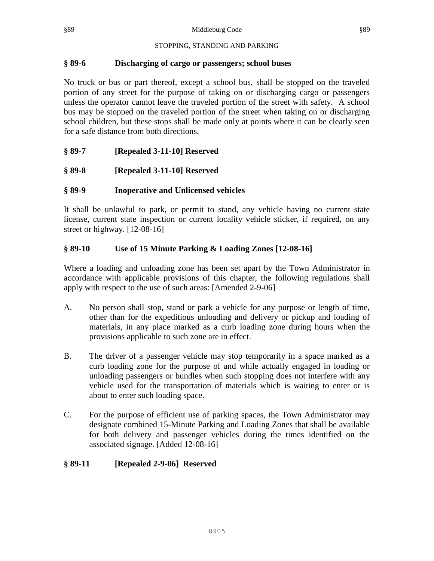## **§ 89-6 Discharging of cargo or passengers; school buses**

No truck or bus or part thereof, except a school bus, shall be stopped on the traveled portion of any street for the purpose of taking on or discharging cargo or passengers unless the operator cannot leave the traveled portion of the street with safety. A school bus may be stopped on the traveled portion of the street when taking on or discharging school children, but these stops shall be made only at points where it can be clearly seen for a safe distance from both directions.

# **§ 89-7 [Repealed 3-11-10] Reserved**

**§ 89-8 [Repealed 3-11-10] Reserved**

# **§ 89-9 Inoperative and Unlicensed vehicles**

It shall be unlawful to park, or permit to stand, any vehicle having no current state license, current state inspection or current locality vehicle sticker, if required, on any street or highway. [12-08-16]

# **§ 89-10 Use of 15 Minute Parking & Loading Zones [12-08-16]**

Where a loading and unloading zone has been set apart by the Town Administrator in accordance with applicable provisions of this chapter, the following regulations shall apply with respect to the use of such areas: [Amended 2-9-06]

- A. No person shall stop, stand or park a vehicle for any purpose or length of time, other than for the expeditious unloading and delivery or pickup and loading of materials, in any place marked as a curb loading zone during hours when the provisions applicable to such zone are in effect.
- B. The driver of a passenger vehicle may stop temporarily in a space marked as a curb loading zone for the purpose of and while actually engaged in loading or unloading passengers or bundles when such stopping does not interfere with any vehicle used for the transportation of materials which is waiting to enter or is about to enter such loading space.
- C. For the purpose of efficient use of parking spaces, the Town Administrator may designate combined 15-Minute Parking and Loading Zones that shall be available for both delivery and passenger vehicles during the times identified on the associated signage. [Added 12-08-16]

# **§ 89-11 [Repealed 2-9-06] Reserved**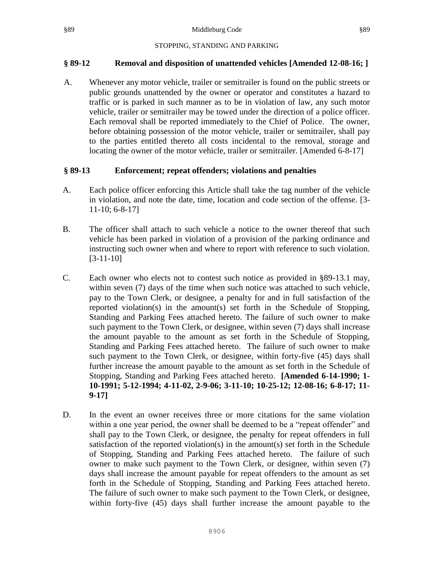### **§ 89-12 Removal and disposition of unattended vehicles [Amended 12-08-16; ]**

A. Whenever any motor vehicle, trailer or semitrailer is found on the public streets or public grounds unattended by the owner or operator and constitutes a hazard to traffic or is parked in such manner as to be in violation of law, any such motor vehicle, trailer or semitrailer may be towed under the direction of a police officer. Each removal shall be reported immediately to the Chief of Police. The owner, before obtaining possession of the motor vehicle, trailer or semitrailer, shall pay to the parties entitled thereto all costs incidental to the removal, storage and locating the owner of the motor vehicle, trailer or semitrailer. [Amended 6-8-17]

#### **§ 89-13 Enforcement; repeat offenders; violations and penalties**

- A. Each police officer enforcing this Article shall take the tag number of the vehicle in violation, and note the date, time, location and code section of the offense. [3- 11-10; 6-8-17]
- B. The officer shall attach to such vehicle a notice to the owner thereof that such vehicle has been parked in violation of a provision of the parking ordinance and instructing such owner when and where to report with reference to such violation. [3-11-10]
- C. Each owner who elects not to contest such notice as provided in §89-13.1 may, within seven (7) days of the time when such notice was attached to such vehicle, pay to the Town Clerk, or designee, a penalty for and in full satisfaction of the reported violation(s) in the amount(s) set forth in the Schedule of Stopping, Standing and Parking Fees attached hereto. The failure of such owner to make such payment to the Town Clerk, or designee, within seven (7) days shall increase the amount payable to the amount as set forth in the Schedule of Stopping, Standing and Parking Fees attached hereto. The failure of such owner to make such payment to the Town Clerk, or designee, within forty-five (45) days shall further increase the amount payable to the amount as set forth in the Schedule of Stopping, Standing and Parking Fees attached hereto. **[Amended 6-14-1990; 1- 10-1991; 5-12-1994; 4-11-02, 2-9-06; 3-11-10; 10-25-12; 12-08-16; 6-8-17; 11- 9-17]**
- D. In the event an owner receives three or more citations for the same violation within a one year period, the owner shall be deemed to be a "repeat offender" and shall pay to the Town Clerk, or designee, the penalty for repeat offenders in full satisfaction of the reported violation(s) in the amount(s) set forth in the Schedule of Stopping, Standing and Parking Fees attached hereto. The failure of such owner to make such payment to the Town Clerk, or designee, within seven (7) days shall increase the amount payable for repeat offenders to the amount as set forth in the Schedule of Stopping, Standing and Parking Fees attached hereto. The failure of such owner to make such payment to the Town Clerk, or designee, within forty-five (45) days shall further increase the amount payable to the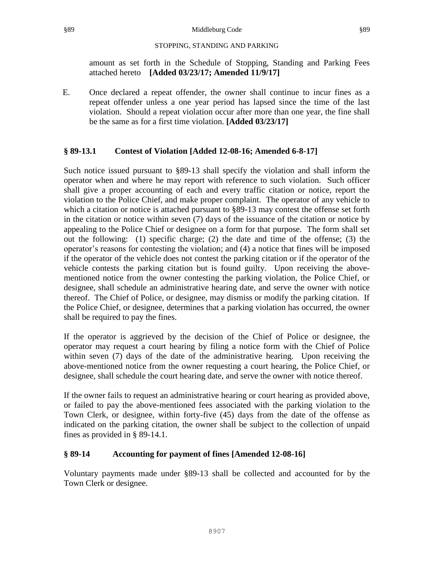amount as set forth in the Schedule of Stopping, Standing and Parking Fees attached hereto **[Added 03/23/17; Amended 11/9/17]**

E. Once declared a repeat offender, the owner shall continue to incur fines as a repeat offender unless a one year period has lapsed since the time of the last violation. Should a repeat violation occur after more than one year, the fine shall be the same as for a first time violation. **[Added 03/23/17]**

# **§ 89-13.1 Contest of Violation [Added 12-08-16; Amended 6-8-17]**

Such notice issued pursuant to §89-13 shall specify the violation and shall inform the operator when and where he may report with reference to such violation. Such officer shall give a proper accounting of each and every traffic citation or notice, report the violation to the Police Chief, and make proper complaint. The operator of any vehicle to which a citation or notice is attached pursuant to §89-13 may contest the offense set forth in the citation or notice within seven (7) days of the issuance of the citation or notice by appealing to the Police Chief or designee on a form for that purpose. The form shall set out the following: (1) specific charge; (2) the date and time of the offense; (3) the operator's reasons for contesting the violation; and (4) a notice that fines will be imposed if the operator of the vehicle does not contest the parking citation or if the operator of the vehicle contests the parking citation but is found guilty. Upon receiving the abovementioned notice from the owner contesting the parking violation, the Police Chief, or designee, shall schedule an administrative hearing date, and serve the owner with notice thereof. The Chief of Police, or designee, may dismiss or modify the parking citation. If the Police Chief, or designee, determines that a parking violation has occurred, the owner shall be required to pay the fines.

If the operator is aggrieved by the decision of the Chief of Police or designee, the operator may request a court hearing by filing a notice form with the Chief of Police within seven (7) days of the date of the administrative hearing. Upon receiving the above-mentioned notice from the owner requesting a court hearing, the Police Chief, or designee, shall schedule the court hearing date, and serve the owner with notice thereof.

If the owner fails to request an administrative hearing or court hearing as provided above, or failed to pay the above-mentioned fees associated with the parking violation to the Town Clerk, or designee, within forty-five (45) days from the date of the offense as indicated on the parking citation, the owner shall be subject to the collection of unpaid fines as provided in § 89-14.1.

# **§ 89-14 Accounting for payment of fines [Amended 12-08-16]**

Voluntary payments made under §89-13 shall be collected and accounted for by the Town Clerk or designee.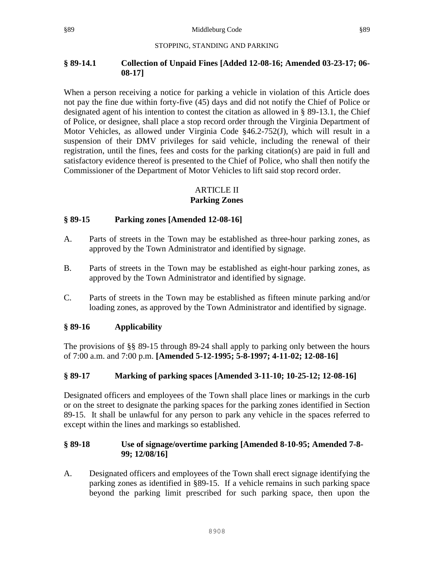## **§ 89-14.1 Collection of Unpaid Fines [Added 12-08-16; Amended 03-23-17; 06- 08-17]**

When a person receiving a notice for parking a vehicle in violation of this Article does not pay the fine due within forty-five (45) days and did not notify the Chief of Police or designated agent of his intention to contest the citation as allowed in § 89-13.1, the Chief of Police, or designee, shall place a stop record order through the Virginia Department of Motor Vehicles, as allowed under Virginia Code  $§46.2-752(J)$ , which will result in a suspension of their DMV privileges for said vehicle, including the renewal of their registration, until the fines, fees and costs for the parking citation(s) are paid in full and satisfactory evidence thereof is presented to the Chief of Police, who shall then notify the Commissioner of the Department of Motor Vehicles to lift said stop record order.

# ARTICLE II

# **Parking Zones**

# **§ 89-15 Parking zones [Amended 12-08-16]**

- A. Parts of streets in the Town may be established as three-hour parking zones, as approved by the Town Administrator and identified by signage.
- B. Parts of streets in the Town may be established as eight-hour parking zones, as approved by the Town Administrator and identified by signage.
- C. Parts of streets in the Town may be established as fifteen minute parking and/or loading zones, as approved by the Town Administrator and identified by signage.

# **§ 89-16 Applicability**

The provisions of §§ 89-15 through 89-24 shall apply to parking only between the hours of 7:00 a.m. and 7:00 p.m. **[Amended 5-12-1995; 5-8-1997; 4-11-02; 12-08-16]**

# **§ 89-17 Marking of parking spaces [Amended 3-11-10; 10-25-12; 12-08-16]**

Designated officers and employees of the Town shall place lines or markings in the curb or on the street to designate the parking spaces for the parking zones identified in Section 89-15. It shall be unlawful for any person to park any vehicle in the spaces referred to except within the lines and markings so established.

# **§ 89-18 Use of signage/overtime parking [Amended 8-10-95; Amended 7-8- 99; 12/08/16]**

A. Designated officers and employees of the Town shall erect signage identifying the parking zones as identified in §89-15. If a vehicle remains in such parking space beyond the parking limit prescribed for such parking space, then upon the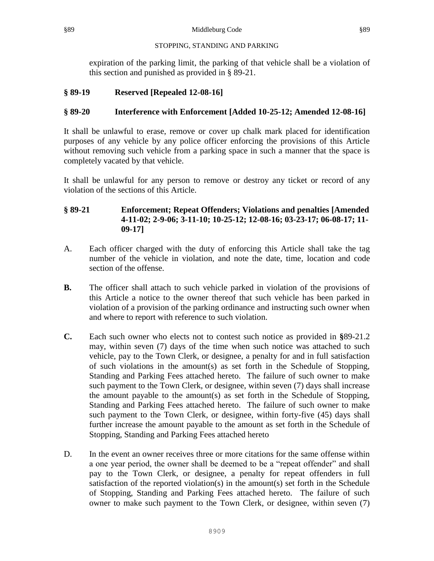expiration of the parking limit, the parking of that vehicle shall be a violation of this section and punished as provided in § 89-21.

# **§ 89-19 Reserved [Repealed 12-08-16]**

# **§ 89-20 Interference with Enforcement [Added 10-25-12; Amended 12-08-16]**

It shall be unlawful to erase, remove or cover up chalk mark placed for identification purposes of any vehicle by any police officer enforcing the provisions of this Article without removing such vehicle from a parking space in such a manner that the space is completely vacated by that vehicle.

It shall be unlawful for any person to remove or destroy any ticket or record of any violation of the sections of this Article.

# **§ 89-21 Enforcement; Repeat Offenders; Violations and penalties [Amended 4-11-02; 2-9-06; 3-11-10; 10-25-12; 12-08-16; 03-23-17; 06-08-17; 11- 09-17]**

- A. Each officer charged with the duty of enforcing this Article shall take the tag number of the vehicle in violation, and note the date, time, location and code section of the offense.
- **B.** The officer shall attach to such vehicle parked in violation of the provisions of this Article a notice to the owner thereof that such vehicle has been parked in violation of a provision of the parking ordinance and instructing such owner when and where to report with reference to such violation.
- **C.** Each such owner who elects not to contest such notice as provided in **§**89-21.2 may, within seven (7) days of the time when such notice was attached to such vehicle, pay to the Town Clerk, or designee, a penalty for and in full satisfaction of such violations in the amount(s) as set forth in the Schedule of Stopping, Standing and Parking Fees attached hereto. The failure of such owner to make such payment to the Town Clerk, or designee, within seven (7) days shall increase the amount payable to the amount(s) as set forth in the Schedule of Stopping, Standing and Parking Fees attached hereto. The failure of such owner to make such payment to the Town Clerk, or designee, within forty-five (45) days shall further increase the amount payable to the amount as set forth in the Schedule of Stopping, Standing and Parking Fees attached hereto
- D. In the event an owner receives three or more citations for the same offense within a one year period, the owner shall be deemed to be a "repeat offender" and shall pay to the Town Clerk, or designee, a penalty for repeat offenders in full satisfaction of the reported violation(s) in the amount(s) set forth in the Schedule of Stopping, Standing and Parking Fees attached hereto. The failure of such owner to make such payment to the Town Clerk, or designee, within seven (7)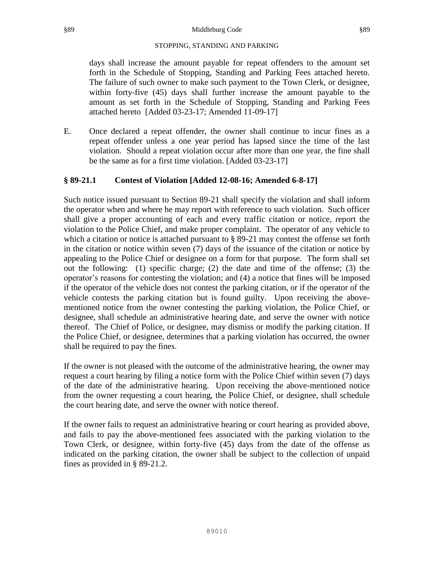days shall increase the amount payable for repeat offenders to the amount set forth in the Schedule of Stopping, Standing and Parking Fees attached hereto. The failure of such owner to make such payment to the Town Clerk, or designee, within forty-five (45) days shall further increase the amount payable to the amount as set forth in the Schedule of Stopping, Standing and Parking Fees attached hereto [Added 03-23-17; Amended 11-09-17]

E. Once declared a repeat offender, the owner shall continue to incur fines as a repeat offender unless a one year period has lapsed since the time of the last violation. Should a repeat violation occur after more than one year, the fine shall be the same as for a first time violation. [Added 03-23-17]

# **§ 89-21.1 Contest of Violation [Added 12-08-16; Amended 6-8-17]**

Such notice issued pursuant to Section 89-21 shall specify the violation and shall inform the operator when and where he may report with reference to such violation. Such officer shall give a proper accounting of each and every traffic citation or notice, report the violation to the Police Chief, and make proper complaint. The operator of any vehicle to which a citation or notice is attached pursuant to § 89-21 may contest the offense set forth in the citation or notice within seven (7) days of the issuance of the citation or notice by appealing to the Police Chief or designee on a form for that purpose. The form shall set out the following: (1) specific charge; (2) the date and time of the offense; (3) the operator's reasons for contesting the violation; and (4) a notice that fines will be imposed if the operator of the vehicle does not contest the parking citation, or if the operator of the vehicle contests the parking citation but is found guilty. Upon receiving the abovementioned notice from the owner contesting the parking violation, the Police Chief, or designee, shall schedule an administrative hearing date, and serve the owner with notice thereof. The Chief of Police, or designee, may dismiss or modify the parking citation. If the Police Chief, or designee, determines that a parking violation has occurred, the owner shall be required to pay the fines.

If the owner is not pleased with the outcome of the administrative hearing, the owner may request a court hearing by filing a notice form with the Police Chief within seven (7) days of the date of the administrative hearing. Upon receiving the above-mentioned notice from the owner requesting a court hearing, the Police Chief, or designee, shall schedule the court hearing date, and serve the owner with notice thereof.

If the owner fails to request an administrative hearing or court hearing as provided above, and fails to pay the above-mentioned fees associated with the parking violation to the Town Clerk, or designee, within forty-five (45) days from the date of the offense as indicated on the parking citation, the owner shall be subject to the collection of unpaid fines as provided in § 89-21.2.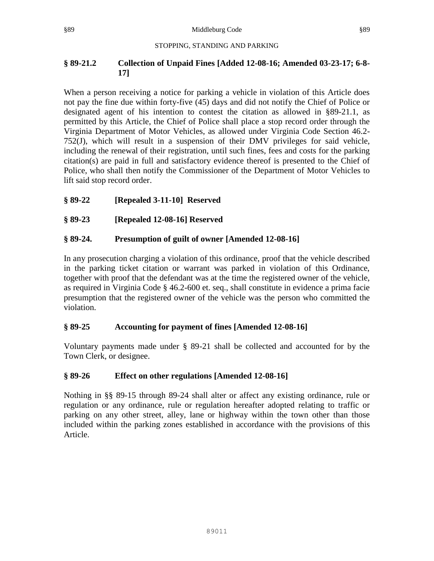# **§ 89-21.2 Collection of Unpaid Fines [Added 12-08-16; Amended 03-23-17; 6-8- 17]**

When a person receiving a notice for parking a vehicle in violation of this Article does not pay the fine due within forty-five (45) days and did not notify the Chief of Police or designated agent of his intention to contest the citation as allowed in §89-21.1, as permitted by this Article, the Chief of Police shall place a stop record order through the Virginia Department of Motor Vehicles, as allowed under Virginia Code Section 46.2- 752(J), which will result in a suspension of their DMV privileges for said vehicle, including the renewal of their registration, until such fines, fees and costs for the parking citation(s) are paid in full and satisfactory evidence thereof is presented to the Chief of Police, who shall then notify the Commissioner of the Department of Motor Vehicles to lift said stop record order.

# **§ 89-22 [Repealed 3-11-10] Reserved**

# **§ 89-23 [Repealed 12-08-16] Reserved**

# **§ 89-24. Presumption of guilt of owner [Amended 12-08-16]**

In any prosecution charging a violation of this ordinance, proof that the vehicle described in the parking ticket citation or warrant was parked in violation of this Ordinance, together with proof that the defendant was at the time the registered owner of the vehicle, as required in Virginia Code § 46.2-600 et. seq., shall constitute in evidence a prima facie presumption that the registered owner of the vehicle was the person who committed the violation.

# **§ 89-25 Accounting for payment of fines [Amended 12-08-16]**

Voluntary payments made under § 89-21 shall be collected and accounted for by the Town Clerk, or designee.

# **§ 89-26 Effect on other regulations [Amended 12-08-16]**

Nothing in §§ 89-15 through 89-24 shall alter or affect any existing ordinance, rule or regulation or any ordinance, rule or regulation hereafter adopted relating to traffic or parking on any other street, alley, lane or highway within the town other than those included within the parking zones established in accordance with the provisions of this Article.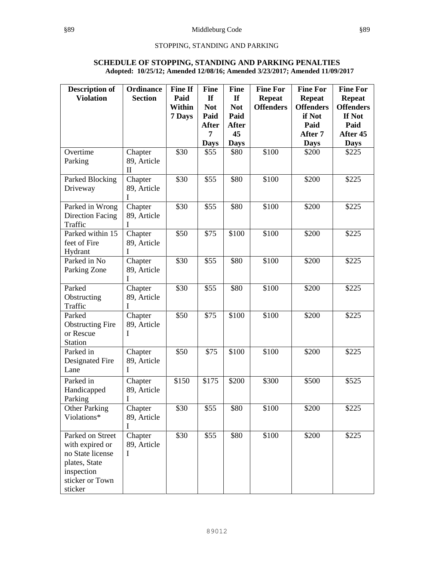#### **SCHEDULE OF STOPPING, STANDING AND PARKING PENALTIES Adopted: 10/25/12; Amended 12/08/16; Amended 3/23/2017; Amended 11/09/2017**

| <b>Description of</b><br><b>Violation</b>                                                                            | <b>Ordinance</b><br><b>Section</b>     | <b>Fine If</b><br>Paid<br><b>Within</b><br>7 Days | <b>Fine</b><br>If<br><b>Not</b><br>Paid | <b>Fine</b><br><b>If</b><br><b>Not</b><br>Paid | <b>Fine For</b><br><b>Repeat</b><br><b>Offenders</b> | <b>Fine For</b><br><b>Repeat</b><br><b>Offenders</b><br>if Not | <b>Fine For</b><br><b>Repeat</b><br><b>Offenders</b><br>If Not |
|----------------------------------------------------------------------------------------------------------------------|----------------------------------------|---------------------------------------------------|-----------------------------------------|------------------------------------------------|------------------------------------------------------|----------------------------------------------------------------|----------------------------------------------------------------|
|                                                                                                                      |                                        |                                                   | <b>After</b>                            | <b>After</b>                                   |                                                      | Paid                                                           | Paid                                                           |
|                                                                                                                      |                                        |                                                   | 7                                       | 45                                             |                                                      | After 7                                                        | After 45                                                       |
|                                                                                                                      |                                        |                                                   | <b>Days</b>                             | <b>Days</b>                                    |                                                      | <b>Days</b>                                                    | <b>Days</b>                                                    |
| Overtime<br>Parking                                                                                                  | Chapter<br>89, Article<br>$\mathbf{I}$ | \$30                                              | \$55                                    | \$80                                           | \$100                                                | \$200                                                          | \$225                                                          |
| Parked Blocking<br>Driveway                                                                                          | Chapter<br>89, Article<br>I            | \$30                                              | \$55                                    | \$80                                           | \$100                                                | \$200                                                          | \$225                                                          |
| Parked in Wrong<br><b>Direction Facing</b><br>Traffic                                                                | Chapter<br>89, Article<br>I            | \$30                                              | \$55                                    | \$80                                           | \$100                                                | \$200                                                          | \$225                                                          |
| Parked within 15<br>feet of Fire<br>Hydrant                                                                          | Chapter<br>89, Article<br>I            | \$50                                              | \$75                                    | \$100                                          | \$100                                                | \$200                                                          | \$225                                                          |
| Parked in No<br>Parking Zone                                                                                         | Chapter<br>89, Article<br>I            | \$30                                              | \$55                                    | \$80                                           | \$100                                                | \$200                                                          | \$225                                                          |
| Parked<br>Obstructing<br>Traffic                                                                                     | Chapter<br>89, Article<br>I            | \$30                                              | \$55                                    | \$80                                           | \$100                                                | \$200                                                          | \$225                                                          |
| Parked<br><b>Obstructing Fire</b><br>or Rescue<br><b>Station</b>                                                     | Chapter<br>89, Article<br>I            | \$50                                              | \$75                                    | \$100                                          | \$100                                                | \$200                                                          | \$225                                                          |
| Parked in<br>Designated Fire<br>Lane                                                                                 | Chapter<br>89, Article<br>I            | \$50                                              | \$75                                    | \$100                                          | \$100                                                | \$200                                                          | \$225                                                          |
| Parked in<br>Handicapped<br>Parking                                                                                  | Chapter<br>89, Article<br>I            | \$150                                             | \$175                                   | \$200                                          | \$300                                                | \$500                                                          | \$525                                                          |
| <b>Other Parking</b><br>Violations*                                                                                  | Chapter<br>89, Article<br>I            | \$30                                              | \$55                                    | \$80                                           | \$100                                                | \$200                                                          | \$225                                                          |
| Parked on Street<br>with expired or<br>no State license<br>plates, State<br>inspection<br>sticker or Town<br>sticker | Chapter<br>89, Article<br>I            | \$30                                              | \$55                                    | \$80                                           | \$100                                                | \$200                                                          | \$225                                                          |